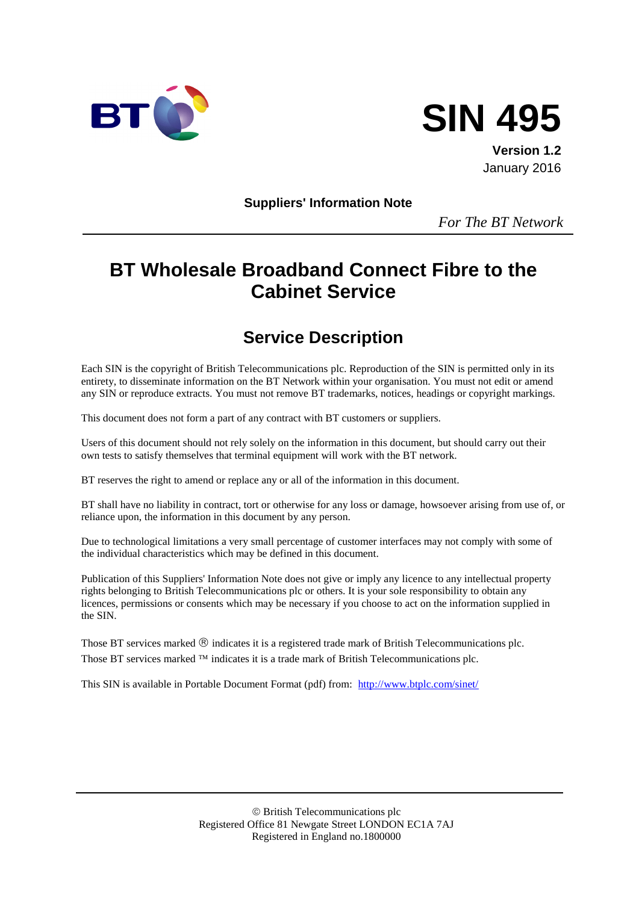



**Version 1.2** January 2016

**Suppliers' Information Note**

*For The BT Network*

# **BT Wholesale Broadband Connect Fibre to the Cabinet Service**

# **Service Description**

Each SIN is the copyright of British Telecommunications plc. Reproduction of the SIN is permitted only in its entirety, to disseminate information on the BT Network within your organisation. You must not edit or amend any SIN or reproduce extracts. You must not remove BT trademarks, notices, headings or copyright markings.

This document does not form a part of any contract with BT customers or suppliers.

Users of this document should not rely solely on the information in this document, but should carry out their own tests to satisfy themselves that terminal equipment will work with the BT network.

BT reserves the right to amend or replace any or all of the information in this document.

BT shall have no liability in contract, tort or otherwise for any loss or damage, howsoever arising from use of, or reliance upon, the information in this document by any person.

Due to technological limitations a very small percentage of customer interfaces may not comply with some of the individual characteristics which may be defined in this document.

Publication of this Suppliers' Information Note does not give or imply any licence to any intellectual property rights belonging to British Telecommunications plc or others. It is your sole responsibility to obtain any licences, permissions or consents which may be necessary if you choose to act on the information supplied in the SIN.

Those BT services marked  $\mathcal{R}$  indicates it is a registered trade mark of British Telecommunications plc. Those BT services marked  $TM$  indicates it is a trade mark of British Telecommunications plc.

This SIN is available in Portable Document Format (pdf) from: <http://www.btplc.com/sinet/>

 British Telecommunications plc Registered Office 81 Newgate Street LONDON EC1A 7AJ Registered in England no.1800000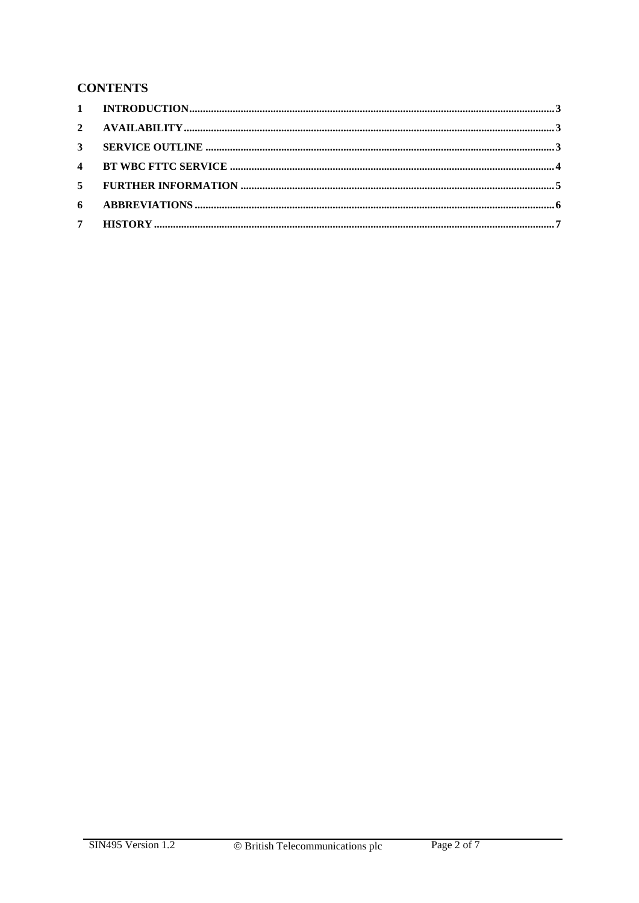#### **CONTENTS**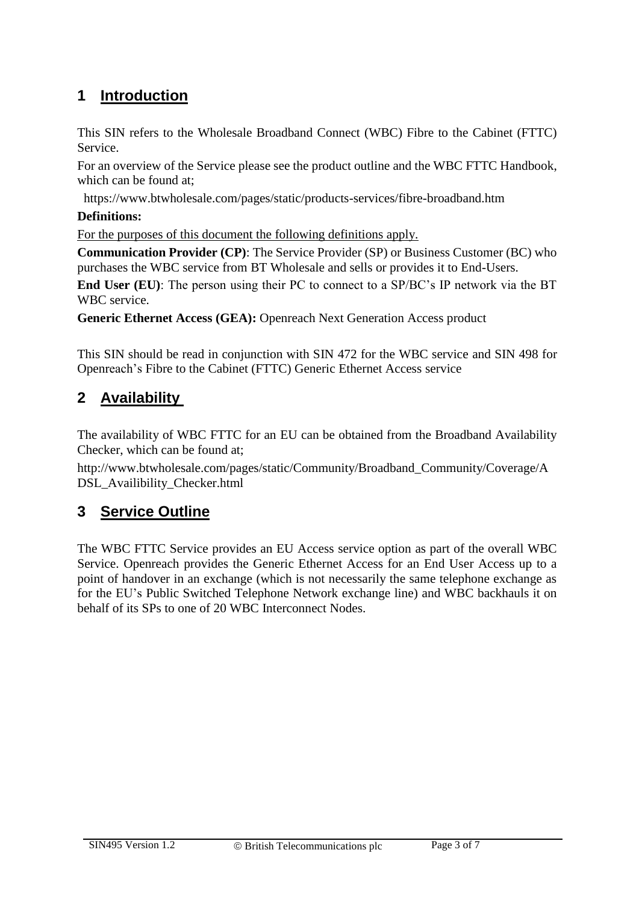## <span id="page-2-0"></span>**1 Introduction**

This SIN refers to the Wholesale Broadband Connect (WBC) Fibre to the Cabinet (FTTC) Service.

For an overview of the Service please see the product outline and the WBC FTTC Handbook, which can be found at;

https://www.btwholesale.com/pages/static/products-services/fibre-broadband.htm

#### **Definitions:**

For the purposes of this document the following definitions apply.

**Communication Provider (CP)**: The Service Provider (SP) or Business Customer (BC) who purchases the WBC service from BT Wholesale and sells or provides it to End-Users.

**End User (EU)**: The person using their PC to connect to a SP/BC's IP network via the BT WBC service.

**Generic Ethernet Access (GEA):** Openreach Next Generation Access product

This SIN should be read in conjunction with SIN 472 for the WBC service and SIN 498 for Openreach's Fibre to the Cabinet (FTTC) Generic Ethernet Access service

### <span id="page-2-1"></span>**2 Availability**

The availability of WBC FTTC for an EU can be obtained from the Broadband Availability Checker, which can be found at;

http://www.btwholesale.com/pages/static/Community/Broadband\_Community/Coverage/A DSL\_Availibility\_Checker.html

#### <span id="page-2-2"></span>**3 Service Outline**

The WBC FTTC Service provides an EU Access service option as part of the overall WBC Service. Openreach provides the Generic Ethernet Access for an End User Access up to a point of handover in an exchange (which is not necessarily the same telephone exchange as for the EU's Public Switched Telephone Network exchange line) and WBC backhauls it on behalf of its SPs to one of 20 WBC Interconnect Nodes.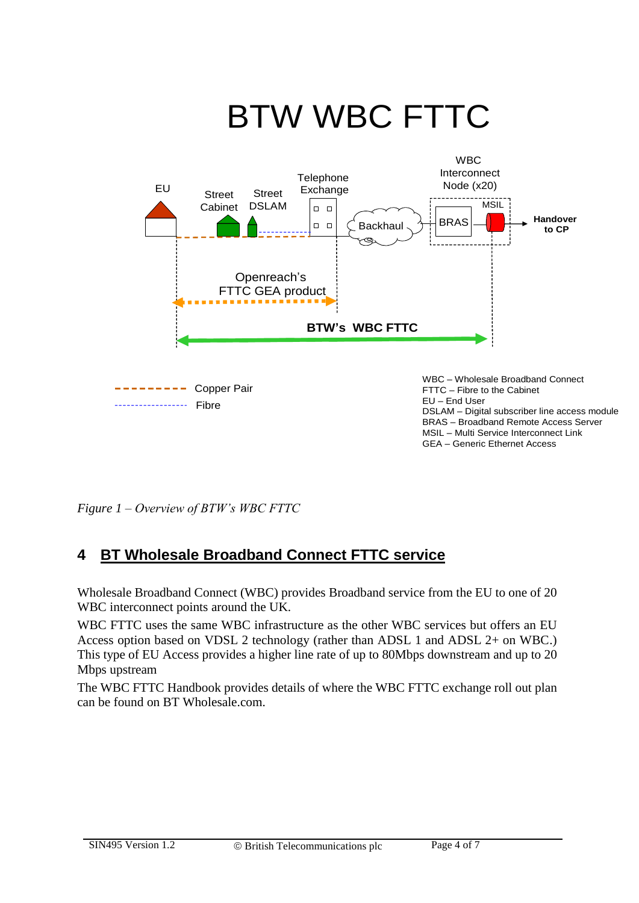

*Figure 1 – Overview of BTW's WBC FTTC*

## <span id="page-3-0"></span>**4 BT Wholesale Broadband Connect FTTC service**

Wholesale Broadband Connect (WBC) provides Broadband service from the EU to one of 20 WBC interconnect points around the UK.

WBC FTTC uses the same WBC infrastructure as the other WBC services but offers an EU Access option based on VDSL 2 technology (rather than ADSL 1 and ADSL 2+ on WBC.) This type of EU Access provides a higher line rate of up to 80Mbps downstream and up to 20 Mbps upstream

The WBC FTTC Handbook provides details of where the WBC FTTC exchange roll out plan can be found on BT Wholesale.com.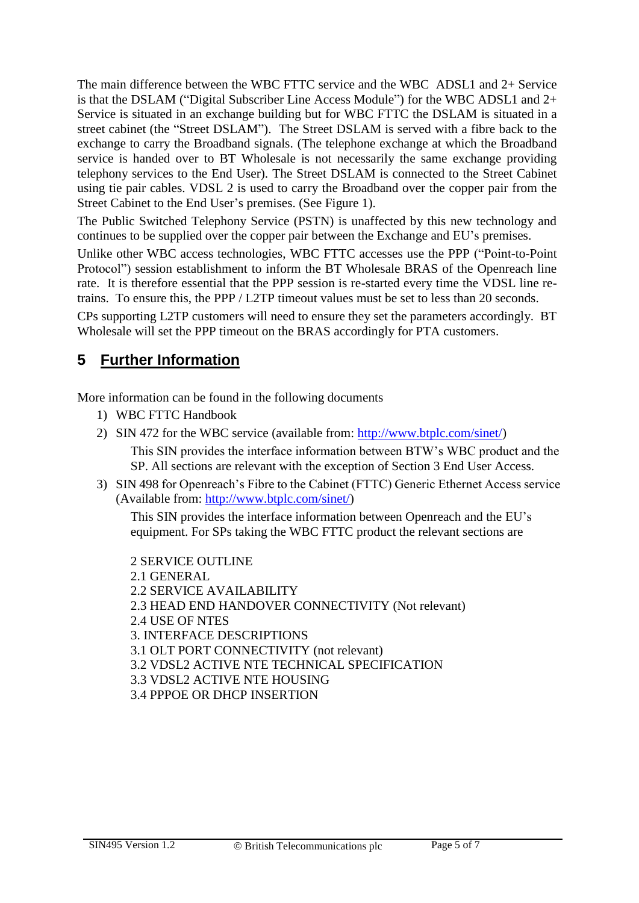The main difference between the WBC FTTC service and the WBC ADSL1 and 2+ Service is that the DSLAM ("Digital Subscriber Line Access Module") for the WBC ADSL1 and 2+ Service is situated in an exchange building but for WBC FTTC the DSLAM is situated in a street cabinet (the "Street DSLAM"). The Street DSLAM is served with a fibre back to the exchange to carry the Broadband signals. (The telephone exchange at which the Broadband service is handed over to BT Wholesale is not necessarily the same exchange providing telephony services to the End User). The Street DSLAM is connected to the Street Cabinet using tie pair cables. VDSL 2 is used to carry the Broadband over the copper pair from the Street Cabinet to the End User's premises. (See Figure 1).

The Public Switched Telephony Service (PSTN) is unaffected by this new technology and continues to be supplied over the copper pair between the Exchange and EU's premises.

Unlike other WBC access technologies, WBC FTTC accesses use the PPP ("Point-to-Point Protocol") session establishment to inform the BT Wholesale BRAS of the Openreach line rate. It is therefore essential that the PPP session is re-started every time the VDSL line retrains. To ensure this, the PPP / L2TP timeout values must be set to less than 20 seconds.

CPs supporting L2TP customers will need to ensure they set the parameters accordingly. BT Wholesale will set the PPP timeout on the BRAS accordingly for PTA customers.

## <span id="page-4-0"></span>**5 Further Information**

More information can be found in the following documents

- 1) WBC FTTC Handbook
- 2) SIN 472 for the WBC service (available from: [http://www.btplc.com/sinet/\)](http://www.btplc.com/sinet/)

This SIN provides the interface information between BTW's WBC product and the SP. All sections are relevant with the exception of Section 3 End User Access.

3) SIN 498 for Openreach's Fibre to the Cabinet (FTTC) Generic Ethernet Access service (Available from: [http://www.btplc.com/sinet/\)](http://www.btplc.com/sinet/)

This SIN provides the interface information between Openreach and the EU's equipment. For SPs taking the WBC FTTC product the relevant sections are

2 SERVICE OUTLINE 2.1 GENERAL 2.2 SERVICE AVAILABILITY 2.3 HEAD END HANDOVER CONNECTIVITY (Not relevant) 2.4 USE OF NTES 3. INTERFACE DESCRIPTIONS 3.1 OLT PORT CONNECTIVITY (not relevant) 3.2 VDSL2 ACTIVE NTE TECHNICAL SPECIFICATION 3.3 VDSL2 ACTIVE NTE HOUSING 3.4 PPPOE OR DHCP INSERTION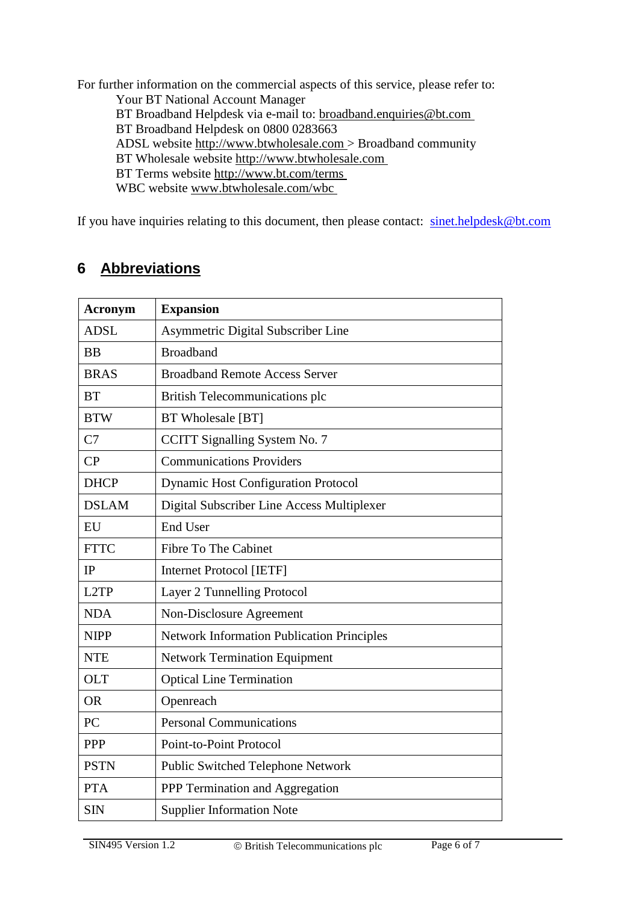For further information on the commercial aspects of this service, please refer to: Your BT National Account Manager BT Broadband Helpdesk via e-mail to: broadband.enquiries@bt.com BT Broadband Helpdesk on 0800 0283663 ADSL website http://www.btwholesale.com > Broadband community BT Wholesale website http://www.btwholesale.com BT Terms website http://www.bt.com/terms WBC website www.btwholesale.com/wbc

If you have inquiries relating to this document, then please contact: sinet.helpdesk@bt.com

### <span id="page-5-0"></span>**6 Abbreviations**

| <b>Acronym</b> | <b>Expansion</b>                                  |  |  |  |
|----------------|---------------------------------------------------|--|--|--|
| <b>ADSL</b>    | Asymmetric Digital Subscriber Line                |  |  |  |
| <b>BB</b>      | <b>Broadband</b>                                  |  |  |  |
| <b>BRAS</b>    | <b>Broadband Remote Access Server</b>             |  |  |  |
| <b>BT</b>      | <b>British Telecommunications plc</b>             |  |  |  |
| <b>BTW</b>     | BT Wholesale [BT]                                 |  |  |  |
| C7             | CCITT Signalling System No. 7                     |  |  |  |
| CP             | <b>Communications Providers</b>                   |  |  |  |
| <b>DHCP</b>    | <b>Dynamic Host Configuration Protocol</b>        |  |  |  |
| <b>DSLAM</b>   | Digital Subscriber Line Access Multiplexer        |  |  |  |
| EU             | <b>End User</b>                                   |  |  |  |
| <b>FTTC</b>    | <b>Fibre To The Cabinet</b>                       |  |  |  |
| IP             | <b>Internet Protocol [IETF]</b>                   |  |  |  |
| L2TP           | Layer 2 Tunnelling Protocol                       |  |  |  |
| <b>NDA</b>     | Non-Disclosure Agreement                          |  |  |  |
| <b>NIPP</b>    | <b>Network Information Publication Principles</b> |  |  |  |
| <b>NTE</b>     | <b>Network Termination Equipment</b>              |  |  |  |
| <b>OLT</b>     | <b>Optical Line Termination</b>                   |  |  |  |
| <b>OR</b>      | Openreach                                         |  |  |  |
| PC             | <b>Personal Communications</b>                    |  |  |  |
| PPP            | Point-to-Point Protocol                           |  |  |  |
| <b>PSTN</b>    | Public Switched Telephone Network                 |  |  |  |
| <b>PTA</b>     | PPP Termination and Aggregation                   |  |  |  |
| <b>SIN</b>     | <b>Supplier Information Note</b>                  |  |  |  |